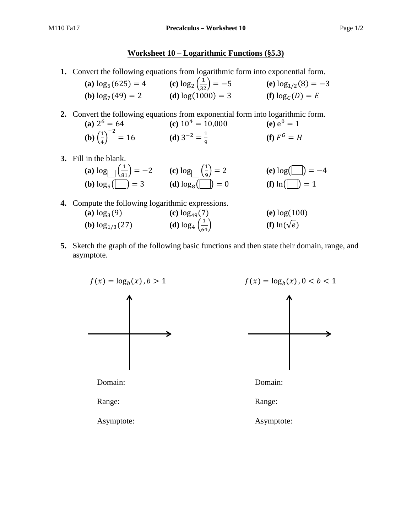## **Worksheet 10 – Logarithmic Functions (§5.3)**

**1.** Convert the following equations from logarithmic form into exponential form.

| (a) $\log_5(625) = 4$         | (c) $\log_2\left(\frac{1}{32}\right) = -5$ | (e) $\log_{1/2}(8) = -3$ |
|-------------------------------|--------------------------------------------|--------------------------|
| ( <b>b</b> ) $\log_7(49) = 2$ | (d) $log(1000) = 3$                        | (f) $\log_{C}(D) = E$    |

**2.** Convert the following equations from exponential form into logarithmic form.

- **(a)**  $2^6 = 64$  **(c)**  $10^4 = 10{,}000$  **(e)**  $e^0 = 1$ **(b)**  $\left(\frac{1}{4}\right)$  $\frac{1}{4}$  $e^{-2} = 16$  **(d)**  $3^{-2} = \frac{1}{9}$  **(f)**  $F^G = H$
- **3.** Fill in the blank.

(a) 
$$
\log_{\frac{1}{3}}\left(\frac{1}{81}\right) = -2
$$
 (c)  $\log_{\frac{1}{3}}\left(\frac{1}{9}\right) = 2$  (e)  $\log_{\frac{1}{3}}\left(\frac{1}{9}\right) = -4$   
(b)  $\log_{5}(\frac{1}{1}) = 3$  (d)  $\log_{8}(\frac{1}{1}) = 0$  (f)  $\ln(\frac{1}{1}) = 1$ 

- **4.** Compute the following logarithmic expressions. **(a)**  $\log_3(9)$  **(c)**  $\log_{49}(7)$  **(e)**  $\log(100)$ **(b)**  $\log_{1/3}(27)$  **(d)**  $\log_4\left(\frac{1}{64}\right)$  $(f)$  ln( $\sqrt{e}$ )
- **5.** Sketch the graph of the following basic functions and then state their domain, range, and asymptote.